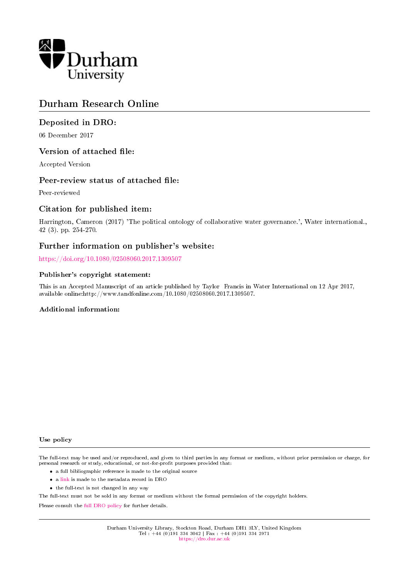

# Durham Research Online

# Deposited in DRO:

06 December 2017

# Version of attached file:

Accepted Version

### Peer-review status of attached file:

Peer-reviewed

# Citation for published item:

Harrington, Cameron (2017) 'The political ontology of collaborative water governance.', Water international., 42 (3). pp. 254-270.

# Further information on publisher's website:

<https://doi.org/10.1080/02508060.2017.1309507>

#### Publisher's copyright statement:

This is an Accepted Manuscript of an article published by Taylor Francis in Water International on 12 Apr 2017, available online:http://www.tandfonline.com/10.1080/02508060.2017.1309507.

#### Additional information:

#### Use policy

The full-text may be used and/or reproduced, and given to third parties in any format or medium, without prior permission or charge, for personal research or study, educational, or not-for-profit purposes provided that:

- a full bibliographic reference is made to the original source
- a [link](http://dro.dur.ac.uk/23635/) is made to the metadata record in DRO
- the full-text is not changed in any way

The full-text must not be sold in any format or medium without the formal permission of the copyright holders.

Please consult the [full DRO policy](https://dro.dur.ac.uk/policies/usepolicy.pdf) for further details.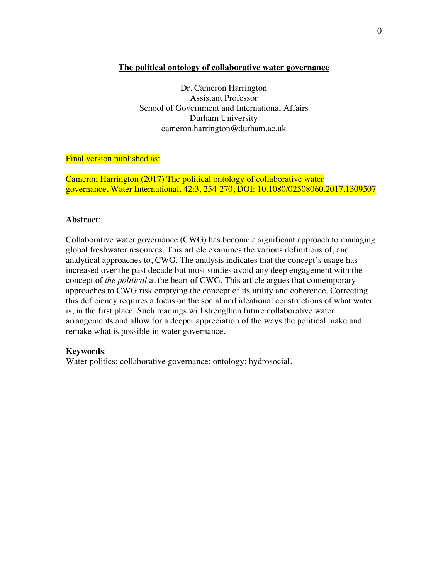### **The political ontology of collaborative water governance**

Dr. Cameron Harrington Assistant Professor School of Government and International Affairs Durham University cameron.harrington@durham.ac.uk

### Final version published as:

Cameron Harrington (2017) The political ontology of collaborative water governance, Water International, 42:3, 254-270, DOI: 10.1080/02508060.2017.1309507

### **Abstract**:

Collaborative water governance (CWG) has become a significant approach to managing global freshwater resources. This article examines the various definitions of, and analytical approaches to, CWG. The analysis indicates that the concept's usage has increased over the past decade but most studies avoid any deep engagement with the concept of *the political* at the heart of CWG. This article argues that contemporary approaches to CWG risk emptying the concept of its utility and coherence. Correcting this deficiency requires a focus on the social and ideational constructions of what water is, in the first place. Such readings will strengthen future collaborative water arrangements and allow for a deeper appreciation of the ways the political make and remake what is possible in water governance.

### **Keywords**:

Water politics; collaborative governance; ontology; hydrosocial.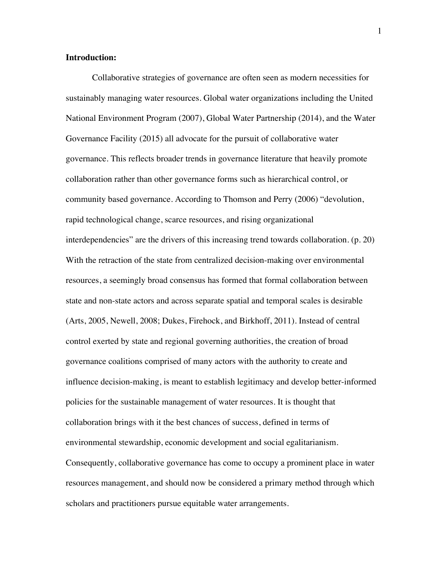### **Introduction:**

Collaborative strategies of governance are often seen as modern necessities for sustainably managing water resources. Global water organizations including the United National Environment Program (2007), Global Water Partnership (2014), and the Water Governance Facility (2015) all advocate for the pursuit of collaborative water governance. This reflects broader trends in governance literature that heavily promote collaboration rather than other governance forms such as hierarchical control, or community based governance. According to Thomson and Perry (2006) "devolution, rapid technological change, scarce resources, and rising organizational interdependencies" are the drivers of this increasing trend towards collaboration. (p. 20) With the retraction of the state from centralized decision-making over environmental resources, a seemingly broad consensus has formed that formal collaboration between state and non-state actors and across separate spatial and temporal scales is desirable (Arts, 2005, Newell, 2008; Dukes, Firehock, and Birkhoff, 2011). Instead of central control exerted by state and regional governing authorities, the creation of broad governance coalitions comprised of many actors with the authority to create and influence decision-making, is meant to establish legitimacy and develop better-informed policies for the sustainable management of water resources. It is thought that collaboration brings with it the best chances of success, defined in terms of environmental stewardship, economic development and social egalitarianism. Consequently, collaborative governance has come to occupy a prominent place in water resources management, and should now be considered a primary method through which scholars and practitioners pursue equitable water arrangements.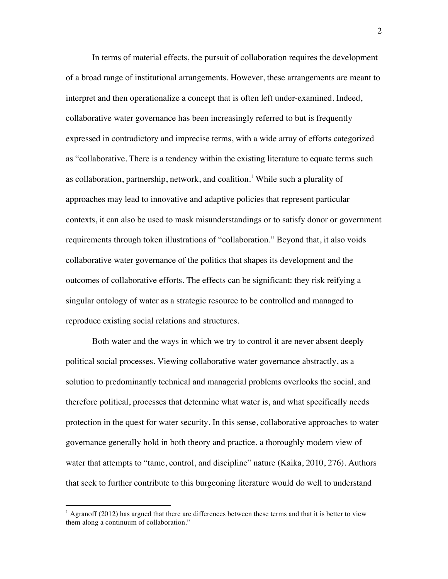In terms of material effects, the pursuit of collaboration requires the development of a broad range of institutional arrangements. However, these arrangements are meant to interpret and then operationalize a concept that is often left under-examined. Indeed, collaborative water governance has been increasingly referred to but is frequently expressed in contradictory and imprecise terms, with a wide array of efforts categorized as "collaborative. There is a tendency within the existing literature to equate terms such as collaboration, partnership, network, and coalition.<sup>1</sup> While such a plurality of approaches may lead to innovative and adaptive policies that represent particular contexts, it can also be used to mask misunderstandings or to satisfy donor or government requirements through token illustrations of "collaboration." Beyond that, it also voids collaborative water governance of the politics that shapes its development and the outcomes of collaborative efforts. The effects can be significant: they risk reifying a singular ontology of water as a strategic resource to be controlled and managed to reproduce existing social relations and structures.

Both water and the ways in which we try to control it are never absent deeply political social processes. Viewing collaborative water governance abstractly, as a solution to predominantly technical and managerial problems overlooks the social, and therefore political, processes that determine what water is, and what specifically needs protection in the quest for water security. In this sense, collaborative approaches to water governance generally hold in both theory and practice, a thoroughly modern view of water that attempts to "tame, control, and discipline" nature (Kaika, 2010, 276). Authors that seek to further contribute to this burgeoning literature would do well to understand

 

<sup>&</sup>lt;sup>1</sup> Agranoff (2012) has argued that there are differences between these terms and that it is better to view them along a continuum of collaboration."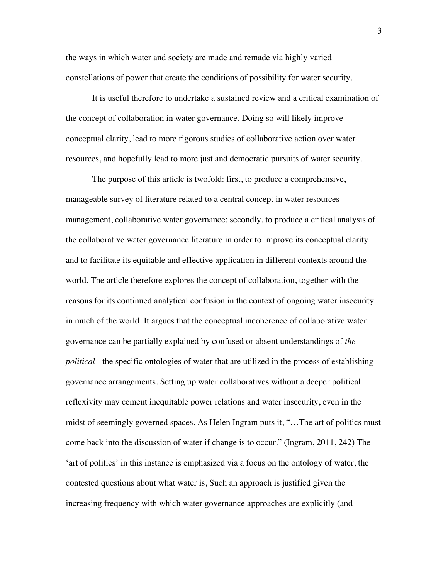the ways in which water and society are made and remade via highly varied constellations of power that create the conditions of possibility for water security.

It is useful therefore to undertake a sustained review and a critical examination of the concept of collaboration in water governance. Doing so will likely improve conceptual clarity, lead to more rigorous studies of collaborative action over water resources, and hopefully lead to more just and democratic pursuits of water security.

The purpose of this article is twofold: first, to produce a comprehensive, manageable survey of literature related to a central concept in water resources management, collaborative water governance; secondly, to produce a critical analysis of the collaborative water governance literature in order to improve its conceptual clarity and to facilitate its equitable and effective application in different contexts around the world. The article therefore explores the concept of collaboration, together with the reasons for its continued analytical confusion in the context of ongoing water insecurity in much of the world. It argues that the conceptual incoherence of collaborative water governance can be partially explained by confused or absent understandings of *the political -* the specific ontologies of water that are utilized in the process of establishing governance arrangements. Setting up water collaboratives without a deeper political reflexivity may cement inequitable power relations and water insecurity, even in the midst of seemingly governed spaces. As Helen Ingram puts it, "…The art of politics must come back into the discussion of water if change is to occur." (Ingram, 2011, 242) The 'art of politics' in this instance is emphasized via a focus on the ontology of water, the contested questions about what water is, Such an approach is justified given the increasing frequency with which water governance approaches are explicitly (and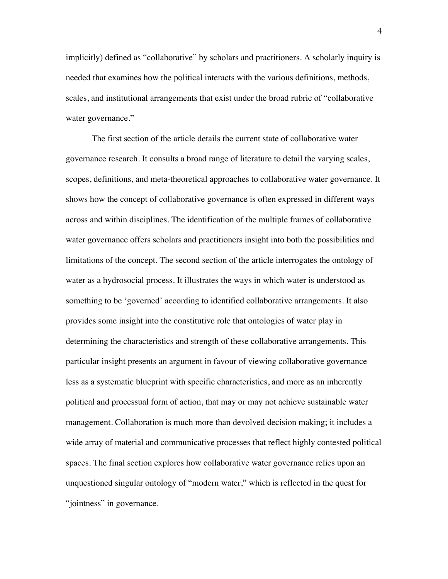implicitly) defined as "collaborative" by scholars and practitioners. A scholarly inquiry is needed that examines how the political interacts with the various definitions, methods, scales, and institutional arrangements that exist under the broad rubric of "collaborative water governance."

The first section of the article details the current state of collaborative water governance research. It consults a broad range of literature to detail the varying scales, scopes, definitions, and meta-theoretical approaches to collaborative water governance. It shows how the concept of collaborative governance is often expressed in different ways across and within disciplines. The identification of the multiple frames of collaborative water governance offers scholars and practitioners insight into both the possibilities and limitations of the concept. The second section of the article interrogates the ontology of water as a hydrosocial process. It illustrates the ways in which water is understood as something to be 'governed' according to identified collaborative arrangements. It also provides some insight into the constitutive role that ontologies of water play in determining the characteristics and strength of these collaborative arrangements. This particular insight presents an argument in favour of viewing collaborative governance less as a systematic blueprint with specific characteristics, and more as an inherently political and processual form of action, that may or may not achieve sustainable water management. Collaboration is much more than devolved decision making; it includes a wide array of material and communicative processes that reflect highly contested political spaces. The final section explores how collaborative water governance relies upon an unquestioned singular ontology of "modern water," which is reflected in the quest for "jointness" in governance.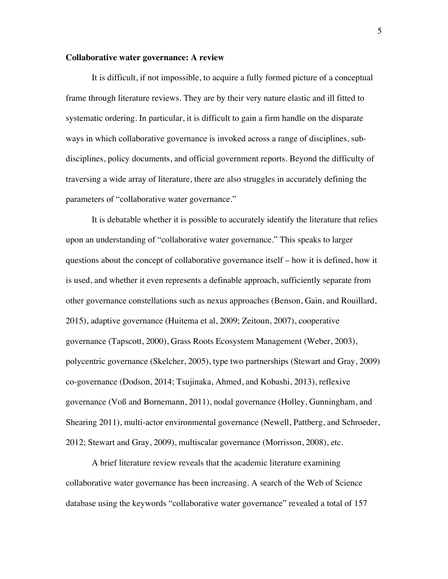#### **Collaborative water governance: A review**

It is difficult, if not impossible, to acquire a fully formed picture of a conceptual frame through literature reviews. They are by their very nature elastic and ill fitted to systematic ordering. In particular, it is difficult to gain a firm handle on the disparate ways in which collaborative governance is invoked across a range of disciplines, subdisciplines, policy documents, and official government reports. Beyond the difficulty of traversing a wide array of literature, there are also struggles in accurately defining the parameters of "collaborative water governance."

It is debatable whether it is possible to accurately identify the literature that relies upon an understanding of "collaborative water governance." This speaks to larger questions about the concept of collaborative governance itself – how it is defined, how it is used, and whether it even represents a definable approach, sufficiently separate from other governance constellations such as nexus approaches (Benson, Gain, and Rouillard, 2015), adaptive governance (Huitema et al, 2009; Zeitoun, 2007), cooperative governance (Tapscott, 2000), Grass Roots Ecosystem Management (Weber, 2003), polycentric governance (Skelcher, 2005), type two partnerships (Stewart and Gray, 2009) co-governance (Dodson, 2014; Tsujinaka, Ahmed, and Kobashi, 2013), reflexive governance (Voß and Bornemann, 2011), nodal governance (Holley, Gunningham, and Shearing 2011), multi-actor environmental governance (Newell, Pattberg, and Schroeder, 2012; Stewart and Gray, 2009), multiscalar governance (Morrisson, 2008), etc.

A brief literature review reveals that the academic literature examining collaborative water governance has been increasing. A search of the Web of Science database using the keywords "collaborative water governance" revealed a total of 157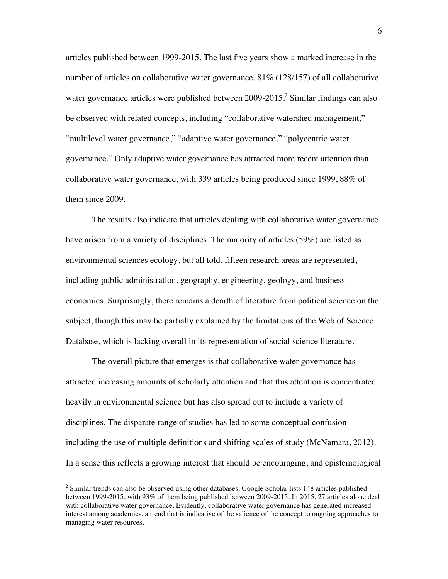articles published between 1999-2015. The last five years show a marked increase in the number of articles on collaborative water governance. 81% (128/157) of all collaborative water governance articles were published between 2009-2015. <sup>2</sup> Similar findings can also be observed with related concepts, including "collaborative watershed management," "multilevel water governance," "adaptive water governance," "polycentric water governance." Only adaptive water governance has attracted more recent attention than collaborative water governance, with 339 articles being produced since 1999, 88% of them since 2009.

The results also indicate that articles dealing with collaborative water governance have arisen from a variety of disciplines. The majority of articles (59%) are listed as environmental sciences ecology, but all told, fifteen research areas are represented, including public administration, geography, engineering, geology, and business economics. Surprisingly, there remains a dearth of literature from political science on the subject, though this may be partially explained by the limitations of the Web of Science Database, which is lacking overall in its representation of social science literature.

The overall picture that emerges is that collaborative water governance has attracted increasing amounts of scholarly attention and that this attention is concentrated heavily in environmental science but has also spread out to include a variety of disciplines. The disparate range of studies has led to some conceptual confusion including the use of multiple definitions and shifting scales of study (McNamara, 2012). In a sense this reflects a growing interest that should be encouraging, and epistemological

 

<sup>&</sup>lt;sup>2</sup> Similar trends can also be observed using other databases. Google Scholar lists 148 articles published between 1999-2015, with 93% of them being published between 2009-2015. In 2015, 27 articles alone deal with collaborative water governance. Evidently, collaborative water governance has generated increased interest among academics, a trend that is indicative of the salience of the concept to ongoing approaches to managing water resources.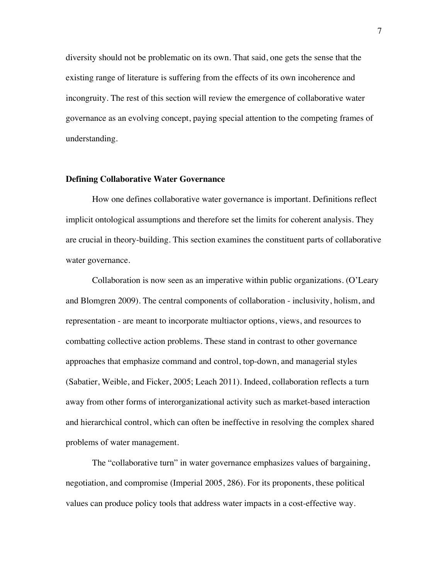diversity should not be problematic on its own. That said, one gets the sense that the existing range of literature is suffering from the effects of its own incoherence and incongruity. The rest of this section will review the emergence of collaborative water governance as an evolving concept, paying special attention to the competing frames of understanding.

#### **Defining Collaborative Water Governance**

How one defines collaborative water governance is important. Definitions reflect implicit ontological assumptions and therefore set the limits for coherent analysis. They are crucial in theory-building. This section examines the constituent parts of collaborative water governance.

Collaboration is now seen as an imperative within public organizations. (O'Leary and Blomgren 2009). The central components of collaboration - inclusivity, holism, and representation - are meant to incorporate multiactor options, views, and resources to combatting collective action problems. These stand in contrast to other governance approaches that emphasize command and control, top-down, and managerial styles (Sabatier, Weible, and Ficker, 2005; Leach 2011). Indeed, collaboration reflects a turn away from other forms of interorganizational activity such as market-based interaction and hierarchical control, which can often be ineffective in resolving the complex shared problems of water management.

The "collaborative turn" in water governance emphasizes values of bargaining, negotiation, and compromise (Imperial 2005, 286). For its proponents, these political values can produce policy tools that address water impacts in a cost-effective way.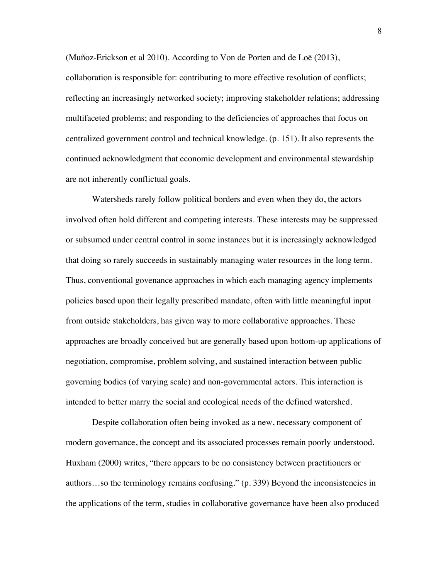(Muñoz-Erickson et al 2010). According to Von de Porten and de Loë (2013), collaboration is responsible for: contributing to more effective resolution of conflicts; reflecting an increasingly networked society; improving stakeholder relations; addressing multifaceted problems; and responding to the deficiencies of approaches that focus on centralized government control and technical knowledge. (p. 151). It also represents the continued acknowledgment that economic development and environmental stewardship are not inherently conflictual goals.

Watersheds rarely follow political borders and even when they do, the actors involved often hold different and competing interests. These interests may be suppressed or subsumed under central control in some instances but it is increasingly acknowledged that doing so rarely succeeds in sustainably managing water resources in the long term. Thus, conventional govenance approaches in which each managing agency implements policies based upon their legally prescribed mandate, often with little meaningful input from outside stakeholders, has given way to more collaborative approaches. These approaches are broadly conceived but are generally based upon bottom-up applications of negotiation, compromise, problem solving, and sustained interaction between public governing bodies (of varying scale) and non-governmental actors. This interaction is intended to better marry the social and ecological needs of the defined watershed.

Despite collaboration often being invoked as a new, necessary component of modern governance, the concept and its associated processes remain poorly understood. Huxham (2000) writes, "there appears to be no consistency between practitioners or authors…so the terminology remains confusing." (p. 339) Beyond the inconsistencies in the applications of the term, studies in collaborative governance have been also produced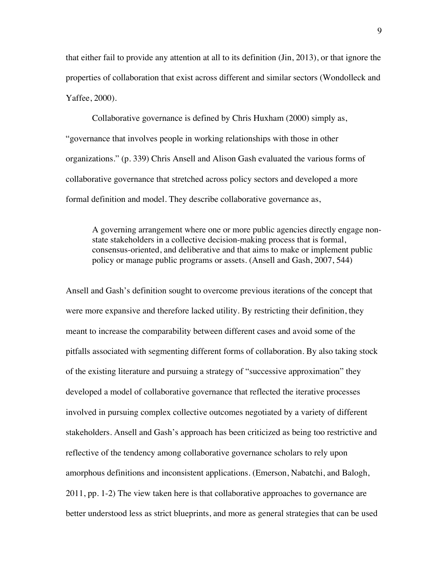that either fail to provide any attention at all to its definition (Jin, 2013), or that ignore the properties of collaboration that exist across different and similar sectors (Wondolleck and Yaffee, 2000).

Collaborative governance is defined by Chris Huxham (2000) simply as, "governance that involves people in working relationships with those in other organizations." (p. 339) Chris Ansell and Alison Gash evaluated the various forms of collaborative governance that stretched across policy sectors and developed a more formal definition and model. They describe collaborative governance as,

A governing arrangement where one or more public agencies directly engage nonstate stakeholders in a collective decision-making process that is formal, consensus-oriented, and deliberative and that aims to make or implement public policy or manage public programs or assets. (Ansell and Gash, 2007, 544)

Ansell and Gash's definition sought to overcome previous iterations of the concept that were more expansive and therefore lacked utility. By restricting their definition, they meant to increase the comparability between different cases and avoid some of the pitfalls associated with segmenting different forms of collaboration. By also taking stock of the existing literature and pursuing a strategy of "successive approximation" they developed a model of collaborative governance that reflected the iterative processes involved in pursuing complex collective outcomes negotiated by a variety of different stakeholders. Ansell and Gash's approach has been criticized as being too restrictive and reflective of the tendency among collaborative governance scholars to rely upon amorphous definitions and inconsistent applications. (Emerson, Nabatchi, and Balogh, 2011, pp. 1-2) The view taken here is that collaborative approaches to governance are better understood less as strict blueprints, and more as general strategies that can be used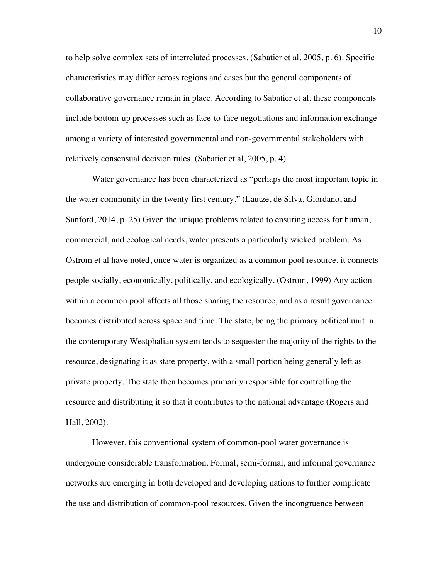to help solve complex sets of interrelated processes. (Sabatier et al, 2005, p. 6). Specific characteristics may differ across regions and cases but the general components of collaborative governance remain in place. According to Sabatier et al, these components include bottom-up processes such as face-to-face negotiations and information exchange among a variety of interested governmental and non-governmental stakeholders with relatively consensual decision rules. (Sabatier et al, 2005, p. 4)

Water governance has been characterized as "perhaps the most important topic in the water community in the twenty-first century." (Lautze, de Silva, Giordano, and Sanford, 2014, p. 25) Given the unique problems related to ensuring access for human, commercial, and ecological needs, water presents a particularly wicked problem. As Ostrom et al have noted, once water is organized as a common-pool resource, it connects people socially, economically, politically, and ecologically. (Ostrom, 1999) Any action within a common pool affects all those sharing the resource, and as a result governance becomes distributed across space and time. The state, being the primary political unit in the contemporary Westphalian system tends to sequester the majority of the rights to the resource, designating it as state property, with a small portion being generally left as private property. The state then becomes primarily responsible for controlling the resource and distributing it so that it contributes to the national advantage (Rogers and Hall, 2002).

However, this conventional system of common-pool water governance is undergoing considerable transformation. Formal, semi-formal, and informal governance networks are emerging in both developed and developing nations to further complicate the use and distribution of common-pool resources. Given the incongruence between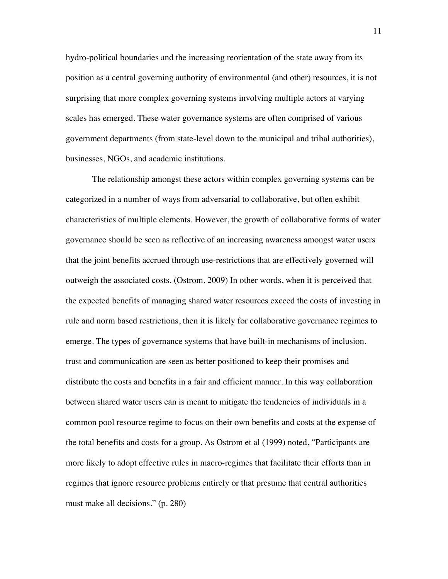hydro-political boundaries and the increasing reorientation of the state away from its position as a central governing authority of environmental (and other) resources, it is not surprising that more complex governing systems involving multiple actors at varying scales has emerged. These water governance systems are often comprised of various government departments (from state-level down to the municipal and tribal authorities), businesses, NGOs, and academic institutions.

The relationship amongst these actors within complex governing systems can be categorized in a number of ways from adversarial to collaborative, but often exhibit characteristics of multiple elements. However, the growth of collaborative forms of water governance should be seen as reflective of an increasing awareness amongst water users that the joint benefits accrued through use-restrictions that are effectively governed will outweigh the associated costs. (Ostrom, 2009) In other words, when it is perceived that the expected benefits of managing shared water resources exceed the costs of investing in rule and norm based restrictions, then it is likely for collaborative governance regimes to emerge. The types of governance systems that have built-in mechanisms of inclusion, trust and communication are seen as better positioned to keep their promises and distribute the costs and benefits in a fair and efficient manner. In this way collaboration between shared water users can is meant to mitigate the tendencies of individuals in a common pool resource regime to focus on their own benefits and costs at the expense of the total benefits and costs for a group. As Ostrom et al (1999) noted, "Participants are more likely to adopt effective rules in macro-regimes that facilitate their efforts than in regimes that ignore resource problems entirely or that presume that central authorities must make all decisions." (p. 280)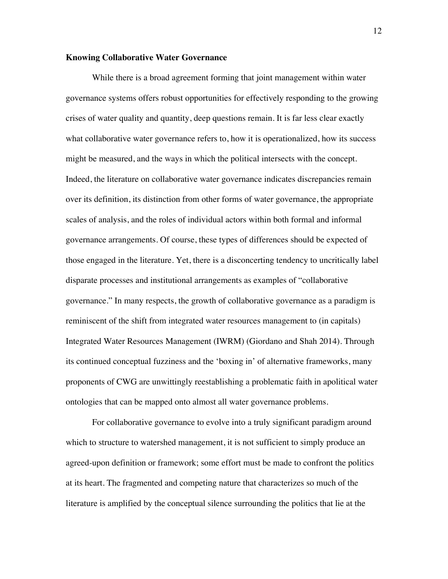#### **Knowing Collaborative Water Governance**

While there is a broad agreement forming that joint management within water governance systems offers robust opportunities for effectively responding to the growing crises of water quality and quantity, deep questions remain. It is far less clear exactly what collaborative water governance refers to, how it is operationalized, how its success might be measured, and the ways in which the political intersects with the concept. Indeed, the literature on collaborative water governance indicates discrepancies remain over its definition, its distinction from other forms of water governance, the appropriate scales of analysis, and the roles of individual actors within both formal and informal governance arrangements. Of course, these types of differences should be expected of those engaged in the literature. Yet, there is a disconcerting tendency to uncritically label disparate processes and institutional arrangements as examples of "collaborative governance." In many respects, the growth of collaborative governance as a paradigm is reminiscent of the shift from integrated water resources management to (in capitals) Integrated Water Resources Management (IWRM) (Giordano and Shah 2014). Through its continued conceptual fuzziness and the 'boxing in' of alternative frameworks, many proponents of CWG are unwittingly reestablishing a problematic faith in apolitical water ontologies that can be mapped onto almost all water governance problems.

For collaborative governance to evolve into a truly significant paradigm around which to structure to watershed management, it is not sufficient to simply produce an agreed-upon definition or framework; some effort must be made to confront the politics at its heart. The fragmented and competing nature that characterizes so much of the literature is amplified by the conceptual silence surrounding the politics that lie at the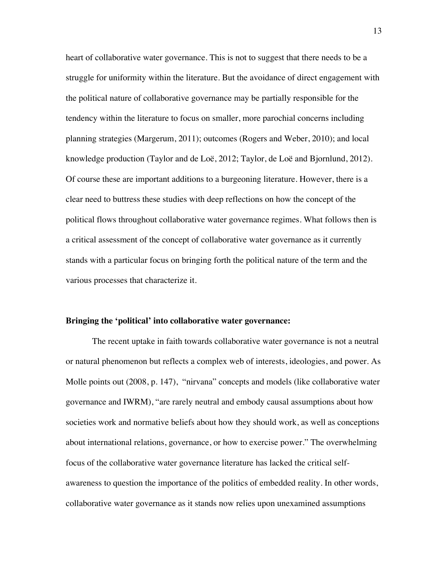heart of collaborative water governance. This is not to suggest that there needs to be a struggle for uniformity within the literature. But the avoidance of direct engagement with the political nature of collaborative governance may be partially responsible for the tendency within the literature to focus on smaller, more parochial concerns including planning strategies (Margerum, 2011); outcomes (Rogers and Weber, 2010); and local knowledge production (Taylor and de Loë, 2012; Taylor, de Loë and Bjornlund, 2012). Of course these are important additions to a burgeoning literature. However, there is a clear need to buttress these studies with deep reflections on how the concept of the political flows throughout collaborative water governance regimes. What follows then is a critical assessment of the concept of collaborative water governance as it currently stands with a particular focus on bringing forth the political nature of the term and the various processes that characterize it.

#### **Bringing the 'political' into collaborative water governance:**

The recent uptake in faith towards collaborative water governance is not a neutral or natural phenomenon but reflects a complex web of interests, ideologies, and power. As Molle points out (2008, p. 147), "nirvana" concepts and models (like collaborative water governance and IWRM), "are rarely neutral and embody causal assumptions about how societies work and normative beliefs about how they should work, as well as conceptions about international relations, governance, or how to exercise power." The overwhelming focus of the collaborative water governance literature has lacked the critical selfawareness to question the importance of the politics of embedded reality. In other words, collaborative water governance as it stands now relies upon unexamined assumptions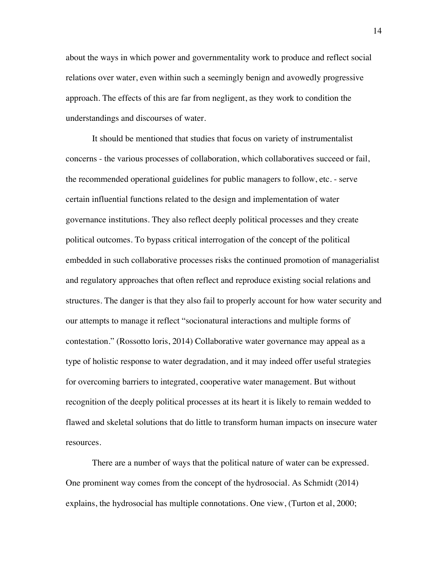about the ways in which power and governmentality work to produce and reflect social relations over water, even within such a seemingly benign and avowedly progressive approach. The effects of this are far from negligent, as they work to condition the understandings and discourses of water.

It should be mentioned that studies that focus on variety of instrumentalist concerns - the various processes of collaboration, which collaboratives succeed or fail, the recommended operational guidelines for public managers to follow, etc. - serve certain influential functions related to the design and implementation of water governance institutions. They also reflect deeply political processes and they create political outcomes. To bypass critical interrogation of the concept of the political embedded in such collaborative processes risks the continued promotion of managerialist and regulatory approaches that often reflect and reproduce existing social relations and structures. The danger is that they also fail to properly account for how water security and our attempts to manage it reflect "socionatural interactions and multiple forms of contestation." (Rossotto loris, 2014) Collaborative water governance may appeal as a type of holistic response to water degradation, and it may indeed offer useful strategies for overcoming barriers to integrated, cooperative water management. But without recognition of the deeply political processes at its heart it is likely to remain wedded to flawed and skeletal solutions that do little to transform human impacts on insecure water resources.

There are a number of ways that the political nature of water can be expressed. One prominent way comes from the concept of the hydrosocial. As Schmidt (2014) explains, the hydrosocial has multiple connotations. One view, (Turton et al, 2000;

14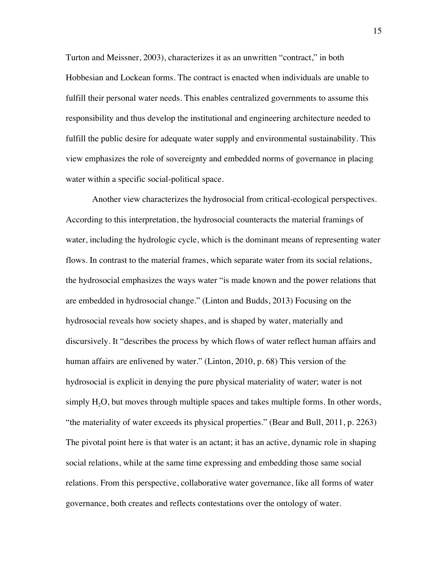Turton and Meissner, 2003), characterizes it as an unwritten "contract," in both Hobbesian and Lockean forms. The contract is enacted when individuals are unable to fulfill their personal water needs. This enables centralized governments to assume this responsibility and thus develop the institutional and engineering architecture needed to fulfill the public desire for adequate water supply and environmental sustainability. This view emphasizes the role of sovereignty and embedded norms of governance in placing water within a specific social-political space.

Another view characterizes the hydrosocial from critical-ecological perspectives. According to this interpretation, the hydrosocial counteracts the material framings of water, including the hydrologic cycle, which is the dominant means of representing water flows. In contrast to the material frames, which separate water from its social relations, the hydrosocial emphasizes the ways water "is made known and the power relations that are embedded in hydrosocial change." (Linton and Budds, 2013) Focusing on the hydrosocial reveals how society shapes, and is shaped by water, materially and discursively. It "describes the process by which flows of water reflect human affairs and human affairs are enlivened by water." (Linton, 2010, p. 68) This version of the hydrosocial is explicit in denying the pure physical materiality of water; water is not simply  $H<sub>2</sub>O$ , but moves through multiple spaces and takes multiple forms. In other words, "the materiality of water exceeds its physical properties." (Bear and Bull, 2011, p. 2263) The pivotal point here is that water is an actant; it has an active, dynamic role in shaping social relations, while at the same time expressing and embedding those same social relations. From this perspective, collaborative water governance, like all forms of water governance, both creates and reflects contestations over the ontology of water.

15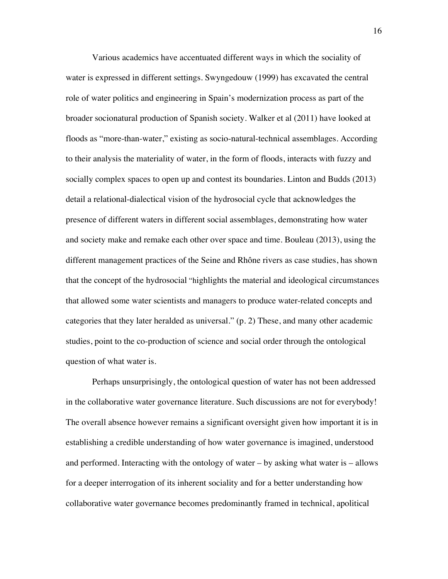Various academics have accentuated different ways in which the sociality of water is expressed in different settings. Swyngedouw (1999) has excavated the central role of water politics and engineering in Spain's modernization process as part of the broader socionatural production of Spanish society. Walker et al (2011) have looked at floods as "more-than-water," existing as socio-natural-technical assemblages. According to their analysis the materiality of water, in the form of floods, interacts with fuzzy and socially complex spaces to open up and contest its boundaries. Linton and Budds (2013) detail a relational-dialectical vision of the hydrosocial cycle that acknowledges the presence of different waters in different social assemblages, demonstrating how water and society make and remake each other over space and time. Bouleau (2013), using the different management practices of the Seine and Rhône rivers as case studies, has shown that the concept of the hydrosocial "highlights the material and ideological circumstances that allowed some water scientists and managers to produce water-related concepts and categories that they later heralded as universal." (p. 2) These, and many other academic studies, point to the co-production of science and social order through the ontological question of what water is.

Perhaps unsurprisingly, the ontological question of water has not been addressed in the collaborative water governance literature. Such discussions are not for everybody! The overall absence however remains a significant oversight given how important it is in establishing a credible understanding of how water governance is imagined, understood and performed. Interacting with the ontology of water – by asking what water is – allows for a deeper interrogation of its inherent sociality and for a better understanding how collaborative water governance becomes predominantly framed in technical, apolitical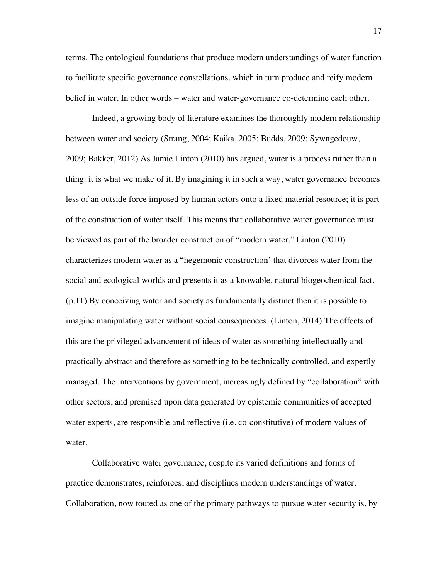terms. The ontological foundations that produce modern understandings of water function to facilitate specific governance constellations, which in turn produce and reify modern belief in water. In other words – water and water-governance co-determine each other.

Indeed, a growing body of literature examines the thoroughly modern relationship between water and society (Strang, 2004; Kaika, 2005; Budds, 2009; Sywngedouw, 2009; Bakker, 2012) As Jamie Linton (2010) has argued, water is a process rather than a thing: it is what we make of it. By imagining it in such a way, water governance becomes less of an outside force imposed by human actors onto a fixed material resource; it is part of the construction of water itself. This means that collaborative water governance must be viewed as part of the broader construction of "modern water." Linton (2010) characterizes modern water as a "hegemonic construction' that divorces water from the social and ecological worlds and presents it as a knowable, natural biogeochemical fact. (p.11) By conceiving water and society as fundamentally distinct then it is possible to imagine manipulating water without social consequences. (Linton, 2014) The effects of this are the privileged advancement of ideas of water as something intellectually and practically abstract and therefore as something to be technically controlled, and expertly managed. The interventions by government, increasingly defined by "collaboration" with other sectors, and premised upon data generated by epistemic communities of accepted water experts, are responsible and reflective (i.e. co-constitutive) of modern values of water.

Collaborative water governance, despite its varied definitions and forms of practice demonstrates, reinforces, and disciplines modern understandings of water. Collaboration, now touted as one of the primary pathways to pursue water security is, by

17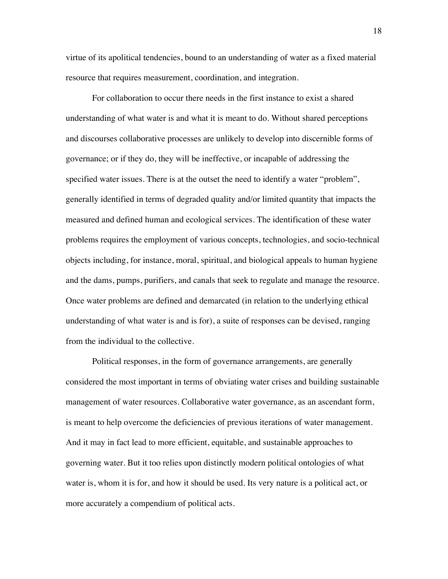virtue of its apolitical tendencies, bound to an understanding of water as a fixed material resource that requires measurement, coordination, and integration.

For collaboration to occur there needs in the first instance to exist a shared understanding of what water is and what it is meant to do. Without shared perceptions and discourses collaborative processes are unlikely to develop into discernible forms of governance; or if they do, they will be ineffective, or incapable of addressing the specified water issues. There is at the outset the need to identify a water "problem", generally identified in terms of degraded quality and/or limited quantity that impacts the measured and defined human and ecological services. The identification of these water problems requires the employment of various concepts, technologies, and socio-technical objects including, for instance, moral, spiritual, and biological appeals to human hygiene and the dams, pumps, purifiers, and canals that seek to regulate and manage the resource. Once water problems are defined and demarcated (in relation to the underlying ethical understanding of what water is and is for), a suite of responses can be devised, ranging from the individual to the collective.

Political responses, in the form of governance arrangements, are generally considered the most important in terms of obviating water crises and building sustainable management of water resources. Collaborative water governance, as an ascendant form, is meant to help overcome the deficiencies of previous iterations of water management. And it may in fact lead to more efficient, equitable, and sustainable approaches to governing water. But it too relies upon distinctly modern political ontologies of what water is, whom it is for, and how it should be used. Its very nature is a political act, or more accurately a compendium of political acts.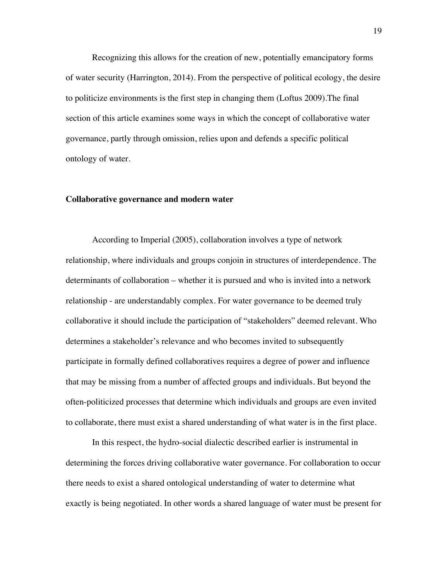Recognizing this allows for the creation of new, potentially emancipatory forms of water security (Harrington, 2014). From the perspective of political ecology, the desire to politicize environments is the first step in changing them (Loftus 2009).The final section of this article examines some ways in which the concept of collaborative water governance, partly through omission, relies upon and defends a specific political ontology of water.

#### **Collaborative governance and modern water**

According to Imperial (2005), collaboration involves a type of network relationship, where individuals and groups conjoin in structures of interdependence. The determinants of collaboration – whether it is pursued and who is invited into a network relationship - are understandably complex. For water governance to be deemed truly collaborative it should include the participation of "stakeholders" deemed relevant. Who determines a stakeholder's relevance and who becomes invited to subsequently participate in formally defined collaboratives requires a degree of power and influence that may be missing from a number of affected groups and individuals. But beyond the often-politicized processes that determine which individuals and groups are even invited to collaborate, there must exist a shared understanding of what water is in the first place.

In this respect, the hydro-social dialectic described earlier is instrumental in determining the forces driving collaborative water governance. For collaboration to occur there needs to exist a shared ontological understanding of water to determine what exactly is being negotiated. In other words a shared language of water must be present for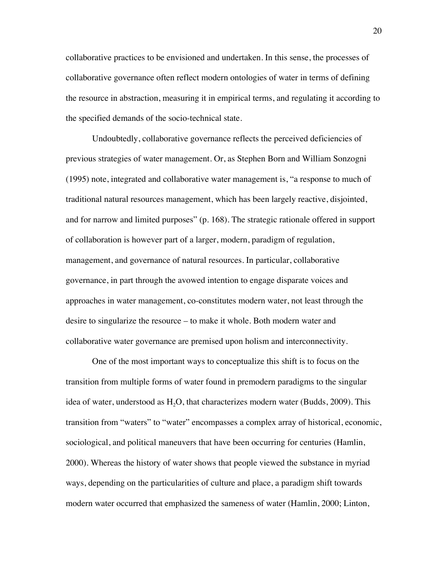collaborative practices to be envisioned and undertaken. In this sense, the processes of collaborative governance often reflect modern ontologies of water in terms of defining the resource in abstraction, measuring it in empirical terms, and regulating it according to the specified demands of the socio-technical state.

Undoubtedly, collaborative governance reflects the perceived deficiencies of previous strategies of water management. Or, as Stephen Born and William Sonzogni (1995) note, integrated and collaborative water management is, "a response to much of traditional natural resources management, which has been largely reactive, disjointed, and for narrow and limited purposes" (p. 168). The strategic rationale offered in support of collaboration is however part of a larger, modern, paradigm of regulation, management, and governance of natural resources. In particular, collaborative governance, in part through the avowed intention to engage disparate voices and approaches in water management, co-constitutes modern water, not least through the desire to singularize the resource – to make it whole. Both modern water and collaborative water governance are premised upon holism and interconnectivity.

One of the most important ways to conceptualize this shift is to focus on the transition from multiple forms of water found in premodern paradigms to the singular idea of water, understood as  $H<sub>2</sub>O$ , that characterizes modern water (Budds, 2009). This transition from "waters" to "water" encompasses a complex array of historical, economic, sociological, and political maneuvers that have been occurring for centuries (Hamlin, 2000). Whereas the history of water shows that people viewed the substance in myriad ways, depending on the particularities of culture and place, a paradigm shift towards modern water occurred that emphasized the sameness of water (Hamlin, 2000; Linton,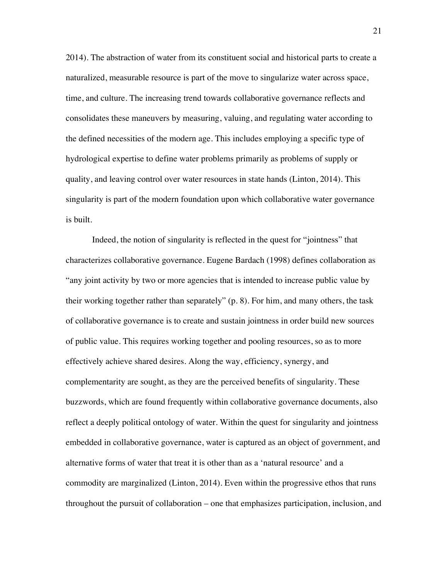2014). The abstraction of water from its constituent social and historical parts to create a naturalized, measurable resource is part of the move to singularize water across space, time, and culture. The increasing trend towards collaborative governance reflects and consolidates these maneuvers by measuring, valuing, and regulating water according to the defined necessities of the modern age. This includes employing a specific type of hydrological expertise to define water problems primarily as problems of supply or quality, and leaving control over water resources in state hands (Linton, 2014). This singularity is part of the modern foundation upon which collaborative water governance is built.

Indeed, the notion of singularity is reflected in the quest for "jointness" that characterizes collaborative governance. Eugene Bardach (1998) defines collaboration as "any joint activity by two or more agencies that is intended to increase public value by their working together rather than separately" (p. 8). For him, and many others, the task of collaborative governance is to create and sustain jointness in order build new sources of public value. This requires working together and pooling resources, so as to more effectively achieve shared desires. Along the way, efficiency, synergy, and complementarity are sought, as they are the perceived benefits of singularity. These buzzwords, which are found frequently within collaborative governance documents, also reflect a deeply political ontology of water. Within the quest for singularity and jointness embedded in collaborative governance, water is captured as an object of government, and alternative forms of water that treat it is other than as a 'natural resource' and a commodity are marginalized (Linton, 2014). Even within the progressive ethos that runs throughout the pursuit of collaboration – one that emphasizes participation, inclusion, and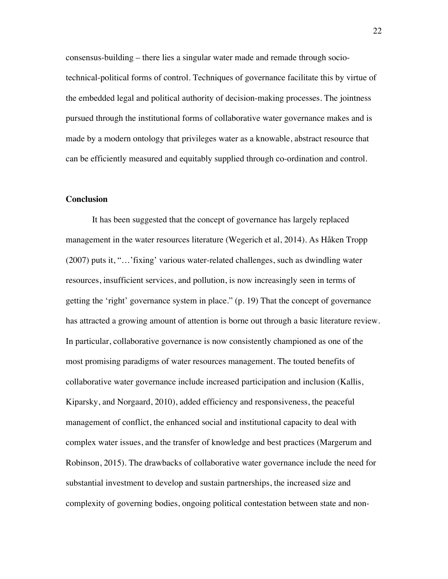consensus-building – there lies a singular water made and remade through sociotechnical-political forms of control. Techniques of governance facilitate this by virtue of the embedded legal and political authority of decision-making processes. The jointness pursued through the institutional forms of collaborative water governance makes and is made by a modern ontology that privileges water as a knowable, abstract resource that can be efficiently measured and equitably supplied through co-ordination and control.

### **Conclusion**

It has been suggested that the concept of governance has largely replaced management in the water resources literature (Wegerich et al, 2014). As Håken Tropp (2007) puts it, "…'fixing' various water-related challenges, such as dwindling water resources, insufficient services, and pollution, is now increasingly seen in terms of getting the 'right' governance system in place." (p. 19) That the concept of governance has attracted a growing amount of attention is borne out through a basic literature review. In particular, collaborative governance is now consistently championed as one of the most promising paradigms of water resources management. The touted benefits of collaborative water governance include increased participation and inclusion (Kallis, Kiparsky, and Norgaard, 2010), added efficiency and responsiveness, the peaceful management of conflict, the enhanced social and institutional capacity to deal with complex water issues, and the transfer of knowledge and best practices (Margerum and Robinson, 2015). The drawbacks of collaborative water governance include the need for substantial investment to develop and sustain partnerships, the increased size and complexity of governing bodies, ongoing political contestation between state and non-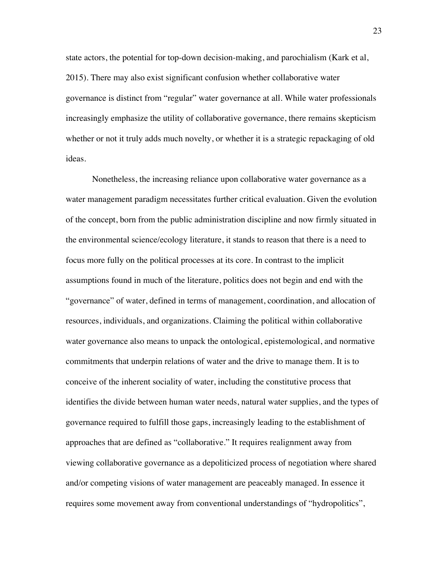state actors, the potential for top-down decision-making, and parochialism (Kark et al, 2015). There may also exist significant confusion whether collaborative water governance is distinct from "regular" water governance at all. While water professionals increasingly emphasize the utility of collaborative governance, there remains skepticism whether or not it truly adds much novelty, or whether it is a strategic repackaging of old ideas.

Nonetheless, the increasing reliance upon collaborative water governance as a water management paradigm necessitates further critical evaluation. Given the evolution of the concept, born from the public administration discipline and now firmly situated in the environmental science/ecology literature, it stands to reason that there is a need to focus more fully on the political processes at its core. In contrast to the implicit assumptions found in much of the literature, politics does not begin and end with the "governance" of water, defined in terms of management, coordination, and allocation of resources, individuals, and organizations. Claiming the political within collaborative water governance also means to unpack the ontological, epistemological, and normative commitments that underpin relations of water and the drive to manage them. It is to conceive of the inherent sociality of water, including the constitutive process that identifies the divide between human water needs, natural water supplies, and the types of governance required to fulfill those gaps, increasingly leading to the establishment of approaches that are defined as "collaborative." It requires realignment away from viewing collaborative governance as a depoliticized process of negotiation where shared and/or competing visions of water management are peaceably managed. In essence it requires some movement away from conventional understandings of "hydropolitics",

23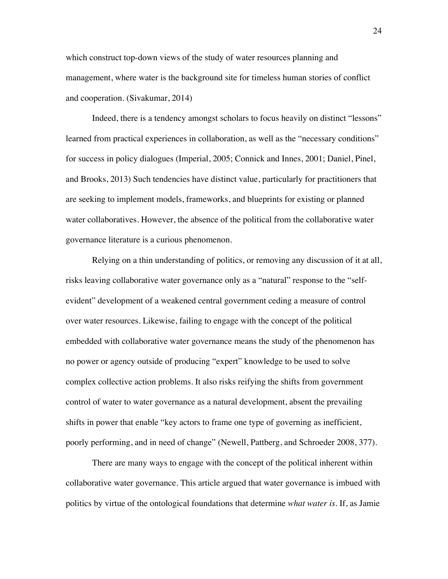which construct top-down views of the study of water resources planning and management, where water is the background site for timeless human stories of conflict and cooperation. (Sivakumar, 2014)

Indeed, there is a tendency amongst scholars to focus heavily on distinct "lessons" learned from practical experiences in collaboration, as well as the "necessary conditions" for success in policy dialogues (Imperial, 2005; Connick and Innes, 2001; Daniel, Pinel, and Brooks, 2013) Such tendencies have distinct value, particularly for practitioners that are seeking to implement models, frameworks, and blueprints for existing or planned water collaboratives. However, the absence of the political from the collaborative water governance literature is a curious phenomenon.

Relying on a thin understanding of politics, or removing any discussion of it at all, risks leaving collaborative water governance only as a "natural" response to the "selfevident" development of a weakened central government ceding a measure of control over water resources. Likewise, failing to engage with the concept of the political embedded with collaborative water governance means the study of the phenomenon has no power or agency outside of producing "expert" knowledge to be used to solve complex collective action problems. It also risks reifying the shifts from government control of water to water governance as a natural development, absent the prevailing shifts in power that enable "key actors to frame one type of governing as inefficient, poorly performing, and in need of change" (Newell, Pattberg, and Schroeder 2008, 377).

There are many ways to engage with the concept of the political inherent within collaborative water governance. This article argued that water governance is imbued with politics by virtue of the ontological foundations that determine *what water is*. If, as Jamie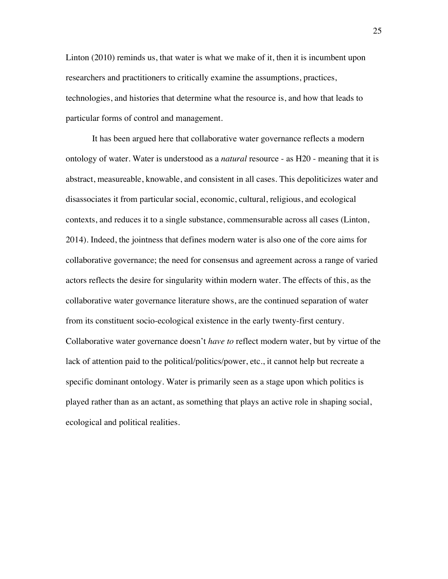Linton (2010) reminds us, that water is what we make of it, then it is incumbent upon researchers and practitioners to critically examine the assumptions, practices, technologies, and histories that determine what the resource is, and how that leads to particular forms of control and management.

It has been argued here that collaborative water governance reflects a modern ontology of water. Water is understood as a *natural* resource - as H20 - meaning that it is abstract, measureable, knowable, and consistent in all cases. This depoliticizes water and disassociates it from particular social, economic, cultural, religious, and ecological contexts, and reduces it to a single substance, commensurable across all cases (Linton, 2014). Indeed, the jointness that defines modern water is also one of the core aims for collaborative governance; the need for consensus and agreement across a range of varied actors reflects the desire for singularity within modern water. The effects of this, as the collaborative water governance literature shows, are the continued separation of water from its constituent socio-ecological existence in the early twenty-first century. Collaborative water governance doesn't *have to* reflect modern water, but by virtue of the lack of attention paid to the political/politics/power, etc., it cannot help but recreate a specific dominant ontology. Water is primarily seen as a stage upon which politics is played rather than as an actant, as something that plays an active role in shaping social, ecological and political realities.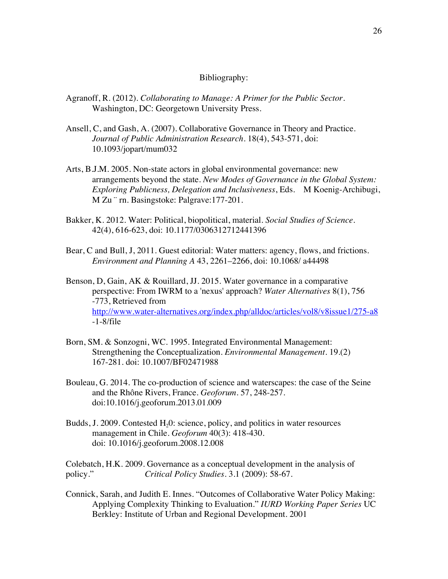### Bibliography:

- Agranoff, R. (2012). *Collaborating to Manage: A Primer for the Public Sector.* Washington, DC: Georgetown University Press.
- Ansell, C, and Gash, A. (2007). Collaborative Governance in Theory and Practice. *Journal of Public Administration Research*. 18(4), 543-571, doi: 10.1093/jopart/mum032
- Arts, B.J.M. 2005. Non-state actors in global environmental governance: new arrangements beyond the state. *New Modes of Governance in the Global System: Exploring Publicness, Delegation and Inclusiveness*, Eds. M Koenig-Archibugi, M Zu  $\degree$  rn. Basingstoke: Palgrave: 177-201.
- Bakker, K. 2012. Water: Political, biopolitical, material. *Social Studies of Science.* 42(4), 616-623, doi: 10.1177/0306312712441396
- Bear, C and Bull, J, 2011. Guest editorial: Water matters: agency, flows, and frictions. *Environment and Planning A* 43, 2261–2266, doi: 10.1068/ a44498

Benson, D, Gain, AK & Rouillard, JJ. 2015. Water governance in a comparative perspective: From IWRM to a 'nexus' approach? *Water Alternatives* 8(1), 756 -773, Retrieved from http://www.water-alternatives.org/index.php/alldoc/articles/vol8/v8issue1/275-a8 -1-8/file

- Born, SM. & Sonzogni, WC. 1995. Integrated Environmental Management: Strengthening the Conceptualization. *Environmental Management*. 19.(2) 167-281. doi: 10.1007/BF02471988
- Bouleau, G. 2014. The co-production of science and waterscapes: the case of the Seine and the Rhône Rivers, France. *Geoforum*. 57, 248-257. doi:10.1016/j.geoforum.2013.01.009
- Budds, J. 2009. Contested  $H<sub>2</sub>0$ : science, policy, and politics in water resources management in Chile. *Geoforum* 40(3): 418-430. doi: 10.1016/j.geoforum.2008.12.008

Colebatch, H.K. 2009. Governance as a conceptual development in the analysis of policy." *Critical Policy Studies*. 3.1 (2009): 58-67.

Connick, Sarah, and Judith E. Innes. "Outcomes of Collaborative Water Policy Making: Applying Complexity Thinking to Evaluation." *IURD Working Paper Series* UC Berkley: Institute of Urban and Regional Development. 2001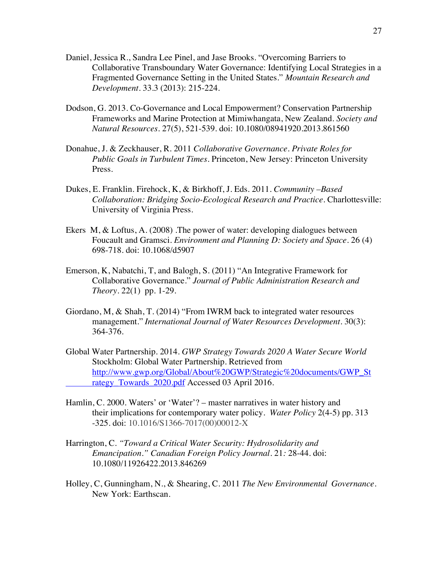- Daniel, Jessica R., Sandra Lee Pinel, and Jase Brooks. "Overcoming Barriers to Collaborative Transboundary Water Governance: Identifying Local Strategies in a Fragmented Governance Setting in the United States." *Mountain Research and Development*. 33.3 (2013): 215-224.
- Dodson, G. 2013. Co-Governance and Local Empowerment? Conservation Partnership Frameworks and Marine Protection at Mimiwhangata, New Zealand. *Society and Natural Resources*. 27(5), 521-539. doi: 10.1080/08941920.2013.861560
- Donahue, J. & Zeckhauser, R. 2011 *Collaborative Governance. Private Roles for Public Goals in Turbulent Times.* Princeton, New Jersey: Princeton University Press.
- Dukes, E. Franklin. Firehock, K, & Birkhoff, J. Eds. 2011. *Community –Based Collaboration: Bridging Socio-Ecological Research and Practice*. Charlottesville: University of Virginia Press.
- Ekers M, & Loftus, A. (2008) .The power of water: developing dialogues between Foucault and Gramsci. *Environment and Planning D: Society and Space*. 26 (4) 698-718. doi: 10.1068/d5907
- Emerson, K, Nabatchi, T, and Balogh, S. (2011) "An Integrative Framework for Collaborative Governance." *Journal of Public Administration Research and Theory*. 22(1) pp. 1-29.
- Giordano, M, & Shah, T. (2014) "From IWRM back to integrated water resources management." *International Journal of Water Resources Development*. 30(3): 364-376.
- Global Water Partnership. 2014. *GWP Strategy Towards 2020 A Water Secure World* Stockholm: Global Water Partnership. Retrieved from http://www.gwp.org/Global/About%20GWP/Strategic%20documents/GWP\_St rategy\_Towards\_2020.pdf Accessed 03 April 2016.
- Hamlin, C. 2000. Waters' or 'Water'? master narratives in water history and their implications for contemporary water policy. *Water Policy* 2(4-5) pp. 313 -325. doi: 10.1016/S1366-7017(00)00012-X
- Harrington, C. *"Toward a Critical Water Security: Hydrosolidarity and Emancipation." Canadian Foreign Policy Journal.* 21*:* 28-44. doi: 10.1080/11926422.2013.846269
- Holley, C, Gunningham, N., & Shearing, C. 2011 *The New Environmental Governance*. New York: Earthscan.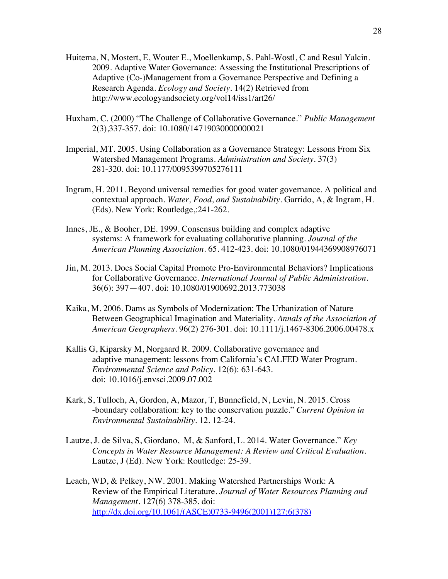- Huitema, N, Mostert, E, Wouter E., Moellenkamp, S. Pahl-Wostl, C and Resul Yalcin. 2009. Adaptive Water Governance: Assessing the Institutional Prescriptions of Adaptive (Co-)Management from a Governance Perspective and Defining a Research Agenda. *Ecology and Society.* 14(2) Retrieved from http://www.ecologyandsociety.org/vol14/iss1/art26/
- Huxham, C. (2000) "The Challenge of Collaborative Governance." *Public Management* 2(3),337-357. doi: 10.1080/14719030000000021
- Imperial, MT. 2005. Using Collaboration as a Governance Strategy: Lessons From Six Watershed Management Programs. *Administration and Society*. 37(3) 281-320. doi: 10.1177/0095399705276111
- Ingram, H. 2011. Beyond universal remedies for good water governance. A political and contextual approach. *Water, Food, and Sustainability*. Garrido, A, & Ingram, H. (Eds). New York: Routledge,:241-262.
- Innes, JE., & Booher, DE. 1999. Consensus building and complex adaptive systems: A framework for evaluating collaborative planning. *Journal of the American Planning Association.* 65. 412-423. doi: 10.1080/01944369908976071
- Jin, M. 2013. Does Social Capital Promote Pro-Environmental Behaviors? Implications for Collaborative Governance. *International Journal of Public Administration*. 36(6): 397—407. doi: 10.1080/01900692.2013.773038
- Kaika, M. 2006. Dams as Symbols of Modernization: The Urbanization of Nature Between Geographical Imagination and Materiality. *Annals of the Association of American Geographers.* 96(2) 276-301. doi: 10.1111/j.1467-8306.2006.00478.x
- Kallis G, Kiparsky M, Norgaard R. 2009. Collaborative governance and adaptive management: lessons from California's CALFED Water Program. *Environmental Science and Policy*. 12(6): 631-643. doi: 10.1016/j.envsci.2009.07.002
- Kark, S, Tulloch, A, Gordon, A, Mazor, T, Bunnefield, N, Levin, N. 2015. Cross -boundary collaboration: key to the conservation puzzle." *Current Opinion in Environmental Sustainability.* 12. 12-24.
- Lautze, J. de Silva, S, Giordano, M, & Sanford, L. 2014. Water Governance." *Key Concepts in Water Resource Management: A Review and Critical Evaluation.* Lautze, J (Ed). New York: Routledge: 25-39.
- Leach, WD, & Pelkey, NW. 2001. Making Watershed Partnerships Work: A Review of the Empirical Literature. *Journal of Water Resources Planning and Management*. 127(6) 378-385. doi: http://dx.doi.org/10.1061/(ASCE)0733-9496(2001)127:6(378)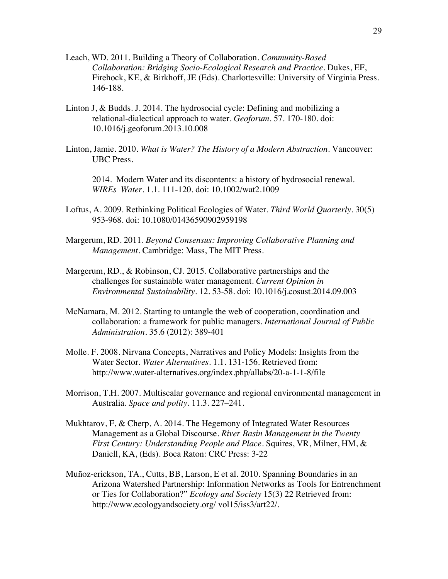- Leach, WD. 2011. Building a Theory of Collaboration. *Community-Based Collaboration: Bridging Socio-Ecological Research and Practice*. Dukes, EF, Firehock, KE, & Birkhoff, JE (Eds). Charlottesville: University of Virginia Press. 146-188.
- Linton J, & Budds. J. 2014. The hydrosocial cycle: Defining and mobilizing a relational-dialectical approach to water. *Geoforum*. 57. 170-180. doi: 10.1016/j.geoforum.2013.10.008
- Linton, Jamie. 2010. *What is Water? The History of a Modern Abstraction.* Vancouver: UBC Press.

2014. Modern Water and its discontents: a history of hydrosocial renewal. *WIREs Water.* 1.1. 111-120. doi: 10.1002/wat2.1009

- Loftus, A. 2009. Rethinking Political Ecologies of Water. *Third World Quarterly*. 30(5) 953-968. doi: 10.1080/01436590902959198
- Margerum, RD. 2011. *Beyond Consensus: Improving Collaborative Planning and Management*. Cambridge: Mass, The MIT Press.
- Margerum, RD., & Robinson, CJ. 2015. Collaborative partnerships and the challenges for sustainable water management. *Current Opinion in Environmental Sustainability.* 12. 53-58. doi: 10.1016/j.cosust.2014.09.003
- McNamara, M. 2012. Starting to untangle the web of cooperation, coordination and collaboration: a framework for public managers. *International Journal of Public Administration.* 35.6 (2012): 389-401
- Molle. F. 2008. Nirvana Concepts, Narratives and Policy Models: Insights from the Water Sector. *Water Alternatives*. 1.1. 131-156. Retrieved from: http://www.water-alternatives.org/index.php/allabs/20-a-1-1-8/file
- Morrison, T.H. 2007. Multiscalar governance and regional environmental management in Australia. *Space and polity*. 11.3. 227–241.
- Mukhtarov, F, & Cherp, A. 2014. The Hegemony of Integrated Water Resources Management as a Global Discourse. *River Basin Management in the Twenty First Century: Understanding People and Place*. Squires, VR, Milner, HM, & Daniell, KA, (Eds). Boca Raton: CRC Press: 3-22
- Muñoz-erickson, TA., Cutts, BB, Larson, E et al. 2010. Spanning Boundaries in an Arizona Watershed Partnership: Information Networks as Tools for Entrenchment or Ties for Collaboration?" *Ecology and Society* 15(3) 22 Retrieved from: http://www.ecologyandsociety.org/ vol15/iss3/art22/.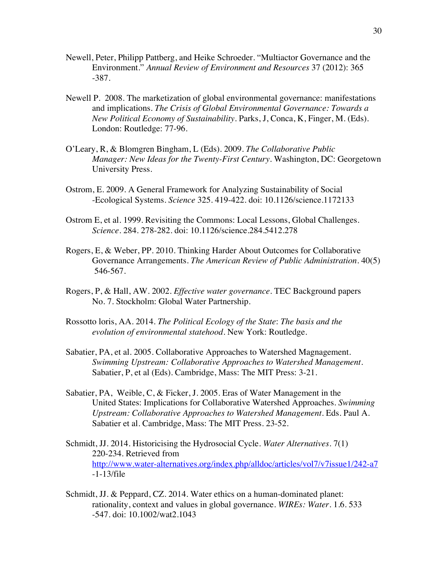- Newell, Peter, Philipp Pattberg, and Heike Schroeder. "Multiactor Governance and the Environment." *Annual Review of Environment and Resources* 37 (2012): 365 -387.
- Newell P. 2008. The marketization of global environmental governance: manifestations and implications. *The Crisis of Global Environmental Governance: Towards a New Political Economy of Sustainability*. Parks, J, Conca, K, Finger, M. (Eds). London: Routledge: 77-96.
- O'Leary, R, & Blomgren Bingham, L (Eds). 2009. *The Collaborative Public Manager: New Ideas for the Twenty-First Century.* Washington, DC: Georgetown University Press.
- Ostrom, E. 2009. A General Framework for Analyzing Sustainability of Social -Ecological Systems. *Science* 325. 419-422. doi: 10.1126/science.1172133
- Ostrom E, et al. 1999. Revisiting the Commons: Local Lessons, Global Challenges. *Science*. 284. 278-282. doi: 10.1126/science.284.5412.278
- Rogers, E, & Weber, PP. 2010. Thinking Harder About Outcomes for Collaborative Governance Arrangements. *The American Review of Public Administration.* 40(5) 546-567.
- Rogers, P, & Hall, AW. 2002. *Effective water governance*. TEC Background papers No. 7. Stockholm: Global Water Partnership.
- Rossotto loris, AA. 2014. *The Political Ecology of the State*: *The basis and the evolution of environmental statehood.* New York: Routledge.
- Sabatier, PA, et al. 2005. Collaborative Approaches to Watershed Magnagement. *Swimming Upstream: Collaborative Approaches to Watershed Management*. Sabatier, P, et al (Eds). Cambridge, Mass: The MIT Press: 3-21.
- Sabatier, PA, Weible, C, & Ficker, J. 2005. Eras of Water Management in the United States: Implications for Collaborative Watershed Approaches. *Swimming Upstream: Collaborative Approaches to Watershed Management*. Eds. Paul A. Sabatier et al. Cambridge, Mass: The MIT Press. 23-52.
- Schmidt, JJ. 2014. Historicising the Hydrosocial Cycle. *Water Alternatives.* 7(1) 220-234. Retrieved from http://www.water-alternatives.org/index.php/alldoc/articles/vol7/v7issue1/242-a7 -1-13/file
- Schmidt, JJ. & Peppard, CZ. 2014. Water ethics on a human-dominated planet: rationality, context and values in global governance. *WIREs: Water*. 1.6. 533 -547. doi: 10.1002/wat2.1043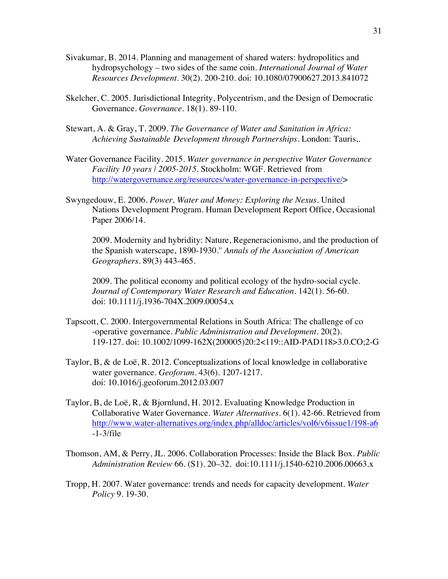- Sivakumar, B. 2014. Planning and management of shared waters: hydropolitics and hydropsychology – two sides of the same coin. *International Journal of Water Resources Development*. 30(2). 200-210. doi: 10.1080/07900627.2013.841072
- Skelcher, C. 2005. Jurisdictional Integrity, Polycentrism, and the Design of Democratic Governance. *Governance.* 18(1). 89-110.
- Stewart, A. & Gray, T. 2009. *The Governance of Water and Sanitation in Africa: Achieving Sustainable Development through Partnerships*. London: Tauris,.
- Water Governance Facility. 2015. *Water governance in perspective Water Governance Facility 10 years | 2005-2015*. Stockholm: WGF. Retrieved from http://watergovernance.org/resources/water-governance-in-perspective/>
- Swyngedouw, E. 2006. *Power, Water and Money: Exploring the Nexus.* United Nations Development Program. Human Development Report Office, Occasional Paper 2006/14.

2009. Modernity and hybridity: Nature, Regeneracionismo, and the production of the Spanish waterscape, 1890-1930.'' *Annals of the Association of American Geographers*. 89(3) 443-465.

2009. The political economy and political ecology of the hydro-social cycle. *Journal of Contemporary Water Research and Education.* 142(1). 56-60. doi: 10.1111/j.1936-704X.2009.00054.x

- Tapscott, C. 2000. Intergovernmental Relations in South Africa: The challenge of co -operative governance. *Public Administration and Development*. 20(2). 119-127. doi: 10.1002/1099-162X(200005)20:2<119::AID-PAD118>3.0.CO;2-G
- Taylor, B, & de Loë, R. 2012. Conceptualizations of local knowledge in collaborative water governance. *Geoforum*. 43(6). 1207-1217. doi: 10.1016/j.geoforum.2012.03.007
- Taylor, B, de Loë, R, & Bjornlund, H. 2012. Evaluating Knowledge Production in Collaborative Water Governance. *Water Alternatives*. 6(1). 42-66. Retrieved from http://www.water-alternatives.org/index.php/alldoc/articles/vol6/v6issue1/198-a6 -1-3/file
- Thomson, AM, & Perry, JL. 2006. Collaboration Processes: Inside the Black Box. *Public Administration Review* 66. (S1). 20–32. doi:10.1111/j.1540-6210.2006.00663.x
- Tropp, H. 2007. Water governance: trends and needs for capacity development. *Water Policy* 9. 19-30.